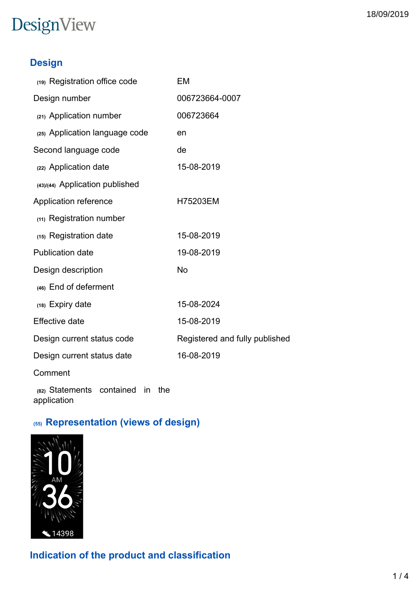### DesignView

### **Design**

| (19) Registration office code                         | EM                             |
|-------------------------------------------------------|--------------------------------|
| Design number                                         | 006723664-0007                 |
| (21) Application number                               | 006723664                      |
| (25) Application language code                        | en                             |
| Second language code                                  | de                             |
| (22) Application date                                 | 15-08-2019                     |
| (43)/(44) Application published                       |                                |
| Application reference                                 | H75203EM                       |
| (11) Registration number                              |                                |
| (15) Registration date                                | 15-08-2019                     |
| <b>Publication date</b>                               | 19-08-2019                     |
| Design description                                    | <b>No</b>                      |
| (46) End of deferment                                 |                                |
| (18) Expiry date                                      | 15-08-2024                     |
| <b>Effective date</b>                                 | 15-08-2019                     |
| Design current status code                            | Registered and fully published |
| Design current status date                            | 16-08-2019                     |
| Comment                                               |                                |
| (82) Statements contained<br>in<br>the<br>application |                                |

### **(55) Representation (views of design)**



**Indication of the product and classification**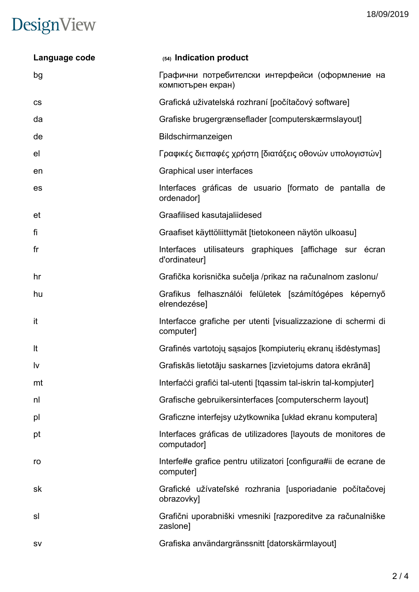#### 18/09/2019

# DesignView

| Language code  | (54) Indication product                                                      |  |  |
|----------------|------------------------------------------------------------------------------|--|--|
| bg             | Графични потребителски интерфейси (оформление на<br>компютърен екран)        |  |  |
| <b>CS</b>      | Grafická uživatelská rozhraní [počítačový software]                          |  |  |
| da             | Grafiske brugergrænseflader [computerskærmslayout]                           |  |  |
| de             | Bildschirmanzeigen                                                           |  |  |
| el             | Γραφικές διεπαφές χρήστη [διατάξεις οθονών υπολογιστών]                      |  |  |
| en             | Graphical user interfaces                                                    |  |  |
| es             | Interfaces gráficas de usuario (formato de pantalla de<br>ordenador]         |  |  |
| et             | Graafilised kasutajaliidesed                                                 |  |  |
| fi             | Graafiset käyttöliittymät [tietokoneen näytön ulkoasu]                       |  |  |
| f <sub>r</sub> | Interfaces utilisateurs graphiques [affichage sur écran]<br>d'ordinateur]    |  |  |
| hr             | Grafička korisnička sučelja /prikaz na računalnom zaslonu/                   |  |  |
| hu             | Grafikus felhasználói felületek [számítógépes képernyő<br>elrendezése]       |  |  |
| it             | Interfacce grafiche per utenti [visualizzazione di schermi di<br>computer]   |  |  |
| It             | Grafinės vartotojų sąsajos [kompiuterių ekranų išdėstymas]                   |  |  |
| <u>Iv</u>      | Grafiskās lietotāju saskarnes [izvietojums datora ekrānā]                    |  |  |
| mt             | Interfacci grafici tal-utenti [tqassim tal-iskrin tal-kompjuter]             |  |  |
| nl             | Grafische gebruikersinterfaces [computerscherm layout]                       |  |  |
| pl             | Graficzne interfejsy użytkownika [układ ekranu komputera]                    |  |  |
| pt             | Interfaces gráficas de utilizadores [layouts de monitores de<br>computador]  |  |  |
| ro             | Interfe#e grafice pentru utilizatori [configura#ii de ecrane de<br>computer] |  |  |
| sk             | Grafické užívateľské rozhrania [usporiadanie počítačovej<br>obrazovky]       |  |  |
| sl             | Grafični uporabniški vmesniki [razporeditve za računalniške]<br>zaslone]     |  |  |
| <b>SV</b>      | Grafiska användargränssnitt [datorskärmlayout]                               |  |  |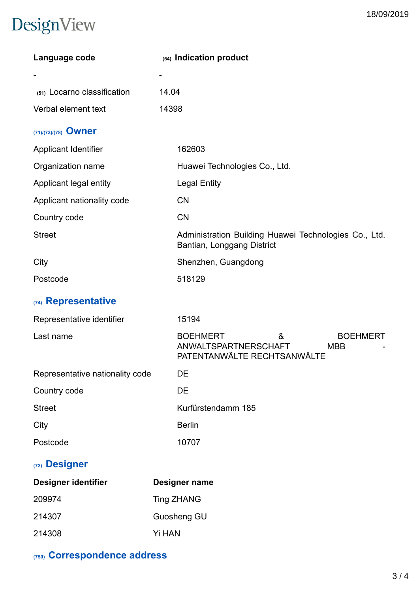## DesignView

| Language code                   | (54) Indication product                                                                                      |
|---------------------------------|--------------------------------------------------------------------------------------------------------------|
|                                 |                                                                                                              |
| (51) Locarno classification     | 14.04                                                                                                        |
| Verbal element text             | 14398                                                                                                        |
| (71)/(73)/(78) Owner            |                                                                                                              |
| <b>Applicant Identifier</b>     | 162603                                                                                                       |
| Organization name               | Huawei Technologies Co., Ltd.                                                                                |
| Applicant legal entity          | <b>Legal Entity</b>                                                                                          |
| Applicant nationality code      | <b>CN</b>                                                                                                    |
| Country code                    | <b>CN</b>                                                                                                    |
| <b>Street</b>                   | Administration Building Huawei Technologies Co., Ltd.<br>Bantian, Longgang District                          |
| City                            | Shenzhen, Guangdong                                                                                          |
| Postcode                        | 518129                                                                                                       |
| (74) Representative             |                                                                                                              |
| Representative identifier       | 15194                                                                                                        |
| Last name                       | <b>BOEHMERT</b><br>&<br><b>BOEHMERT</b><br>ANWALTSPARTNERSCHAFT<br><b>MBB</b><br>PATENTANWÄLTE RECHTSANWÄLTE |
| Representative nationality code | DE                                                                                                           |
| Country code                    | DE                                                                                                           |
| <b>Street</b>                   | Kurfürstendamm 185                                                                                           |
| City                            | <b>Berlin</b>                                                                                                |
| Postcode                        | 10707                                                                                                        |
| (72) Designer                   |                                                                                                              |
| Designer identifier             | Designer name                                                                                                |
| 209974                          | <b>Ting ZHANG</b>                                                                                            |
| 214307                          | Guosheng GU                                                                                                  |
| 214308                          | Yi HAN                                                                                                       |

**(750) Correspondence address**